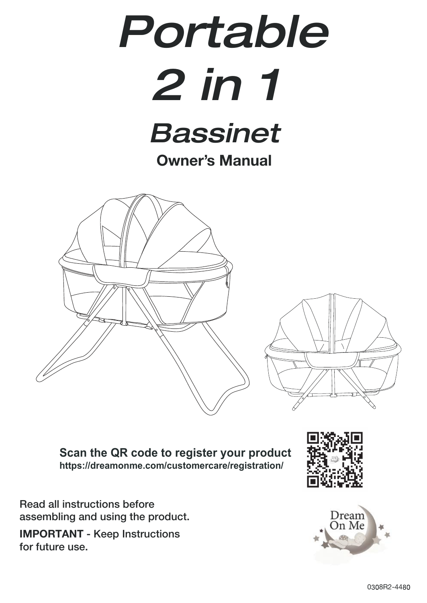

Owner's Manual





**Scan the QR code to register your product https://dreamonme.com/customercare/registration/**



Read all instructions before assembling and using the product.

IMPORTANT - Keep Instructions for future use.

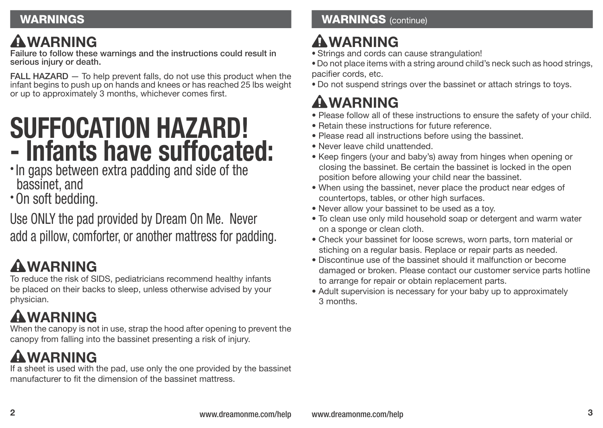### WARNINGS

### WARNING

Failure to follow these warnings and the instructions could result in serious injury or death.

FALL HAZARD — To help prevent falls, do not use this product when the infant begins to push up on hands and knees or has reached 25 lbs weight or up to approximately 3 months, whichever comes first.

# SUFFOCATION HAZARD! - Infants have suffocated:

- In gaps between extra padding and side of the bassinet, and
- •On soft bedding.

Use ONLY the pad provided by Dream On Me. Never add a pillow, comforter, or another mattress for padding.

# **AWARNING**

To reduce the risk of SIDS, pediatricians recommend healthy infants be placed on their backs to sleep, unless otherwise advised by your physician.

# WARNING

When the canopy is not in use, strap the hood after opening to prevent the canopy from falling into the bassinet presenting a risk of injury.

# WARNING

If a sheet is used with the pad, use only the one provided by the bassinet manufacturer to fit the dimension of the bassinet mattress.

### WARNINGS (continue)

WARNING • Strings and cords can cause strangulation!

• Do not place items with a string around child's neck such as hood strings, pacifier cords, etc.

• Do not suspend strings over the bassinet or attach strings to toys.

# **AWARNING**

- Please follow all of these instructions to ensure the safety of your child.
- Retain these instructions for future reference.
- Please read all instructions before using the bassinet.
- Never leave child unattended.
- Keep fingers (your and baby's) away from hinges when opening or closing the bassinet. Be certain the bassinet is locked in the open position before allowing your child near the bassinet.
- When using the bassinet, never place the product near edges of countertops, tables, or other high surfaces.
- Never allow your bassinet to be used as a toy.
- To clean use only mild household soap or detergent and warm water on a sponge or clean cloth.
- Check your bassinet for loose screws, worn parts, torn material or stiching on a regular basis. Replace or repair parts as needed.
- Discontinue use of the bassinet should it malfunction or become damaged or broken. Please contact our customer service parts hotline to arrange for repair or obtain replacement parts.
- Adult supervision is necessary for your baby up to approximately 3 months.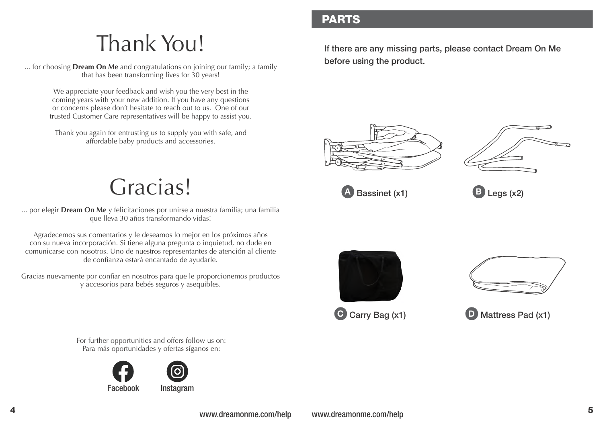# Thank You!

... for choosing **Dream On Me** and congratulations on joining our family; a family that has been transforming lives for 30 years!

We appreciate your feedback and wish you the very best in the coming years with your new addition. If you have any questions or concerns please don't hesitate to reach out to us. One of our trusted Customer Care representatives will be happy to assist you.

Thank you again for entrusting us to supply you with safe, and affordable baby products and accessories.

# Gracias!

... por elegir **Dream On Me** y felicitaciones por unirse a nuestra familia; una familia que lleva 30 años transformando vidas!

Agradecemos sus comentarios y le deseamos lo mejor en los próximos años con su nueva incorporación. Si tiene alguna pregunta o inquietud, no dude en comunicarse con nosotros. Uno de nuestros representantes de atención al cliente de confianza estará encantado de ayudarle.

Gracias nuevamente por confiar en nosotros para que le proporcionemos productos y accesorios para bebés seguros y asequibles.

#### PARTS

If there are any missing parts, please contact Dream On Me before using the product.





Bassinet  $(x1)$  B Legs  $(x2)$ 







For further opportunities and offers follow us on: Para más oportunidades y ofertas síganos en:

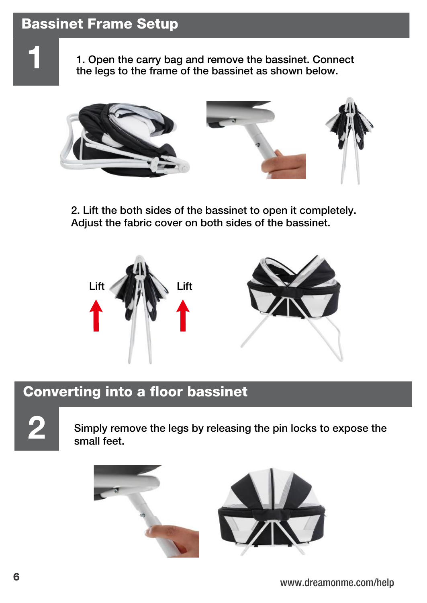### Bassinet Frame Setup

1

1. Open the carry bag and remove the bassinet. Connect the legs to the frame of the bassinet as shown below.



2. Lift the both sides of the bassinet to open it completely. Adjust the fabric cover on both sides of the bassinet.



### Converting into a floor bassinet

2

Simply remove the legs by releasing the pin locks to expose the small feet.

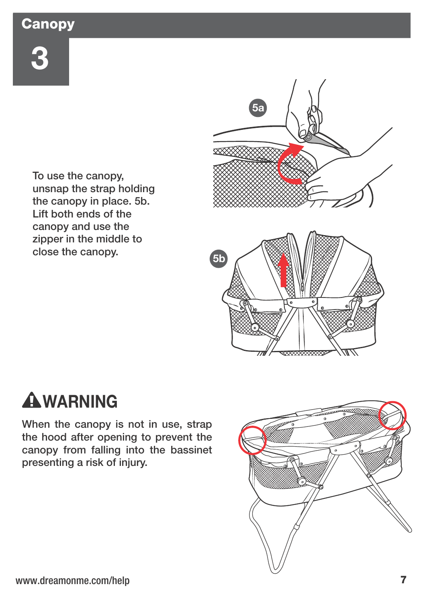### **Canopy**

3

To use the canopy, unsnap the strap holding the canopy in place. 5b. Lift both ends of the canopy and use the zipper in the middle to close the canopy.



### **AWARNING**

When the canopy is not in use, strap the hood after opening to prevent the canopy from falling into the bassinet presenting a risk of injury.

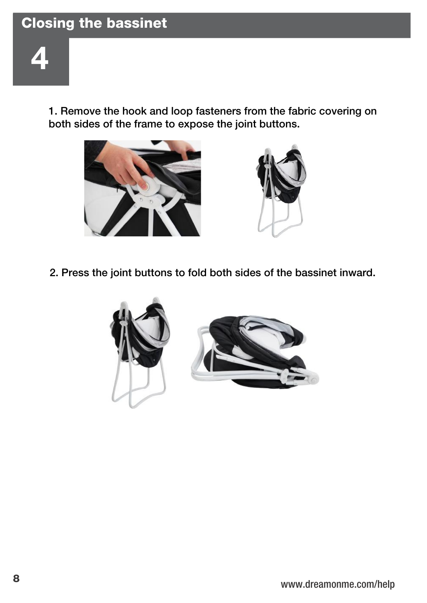

1. Remove the hook and loop fasteners from the fabric covering on both sides of the frame to expose the joint buttons.





2. Press the joint buttons to fold both sides of the bassinet inward.



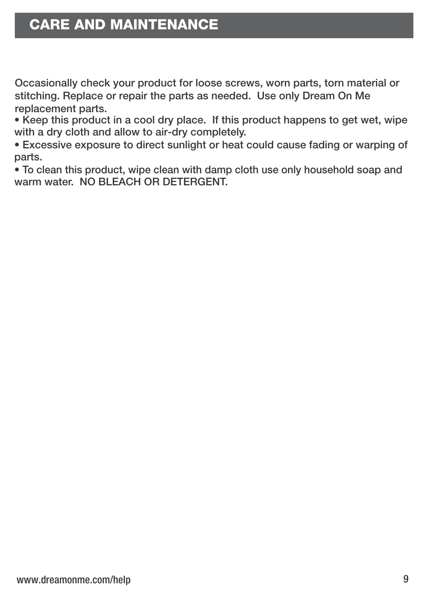Occasionally check your product for loose screws, worn parts, torn material or stitching. Replace or repair the parts as needed. Use only Dream On Me replacement parts.

• Keep this product in a cool dry place. If this product happens to get wet, wipe with a dry cloth and allow to air-dry completely.

• Excessive exposure to direct sunlight or heat could cause fading or warping of parts.

• To clean this product, wipe clean with damp cloth use only household soap and warm water. NO BLEACH OR DETERGENT.